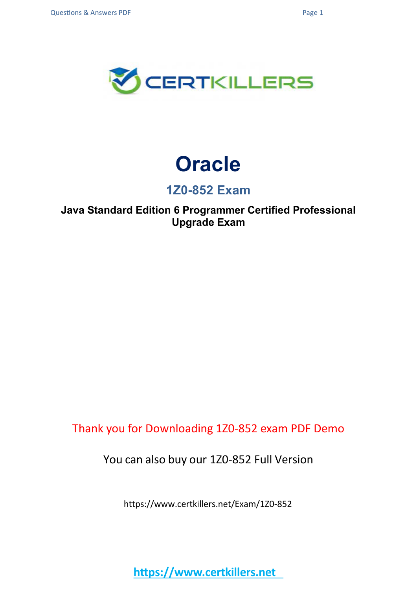

# **Oracle**

## **1Z0-852 Exam**

## **Java Standard Edition 6 Programmer Certified Professional Upgrade Exam**

Thank you for Downloading 1Z0-852 exam PDF Demo

You can also buy our 1Z0-852 Full Version

https://www.certkillers.net/Exam/1Z0-852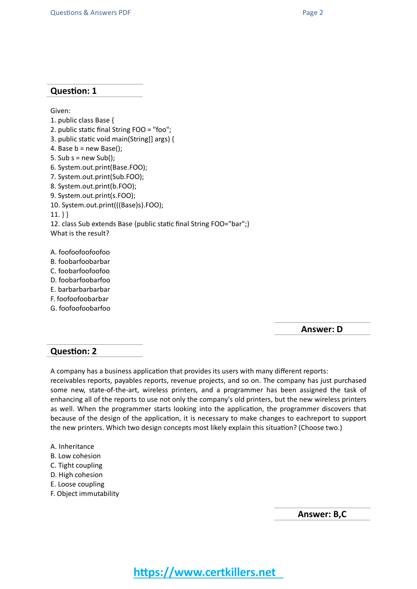#### **Question: 1**

Given: 1. public class Base { 2. public static final String FOO = "foo"; 3. public static void main(String[] args) { 4. Base  $b = new Base()$ ; 5. Sub  $s = new Sub()$ ; 6. System.out.print(Base.FOO); 7. System.out.print(Sub.FOO); 8. System.out.print(b.FOO); 9. System.out.print(s.FOO); 10. System.out.print(((Base)s).FOO);  $11.$ } } 12. class Sub extends Base {public static final String FOO="bar";} What is the result? A. foofoofoofoofoo B. foobarfoobarbar

- C. foobarfoofoofoo
- D. foobarfoobarfoo
- E. barbarbarbarbar
- F. foofoofoobarbar
- G. foofoofoobarfoo

**Answer: D**

### **Question: 2**

A company has a business application that provides its users with many different reports:

receivables reports, payables reports, revenue projects, and so on. The company has just purchased some new, state-of-the-art, wireless printers, and a programmer has been assigned the task of enhancing all of the reports to use not only the company's old printers, but the new wireless printers as well. When the programmer starts looking into the application, the programmer discovers that because of the design of the application, it is necessary to make changes to eachreport to support the new printers. Which two design concepts most likely explain this situation? (Choose two.)

- A. Inheritance
- B. Low cohesion
- C. Tight coupling
- D. High cohesion
- E. Loose coupling
- F. Object immutability

**Answer: B,C**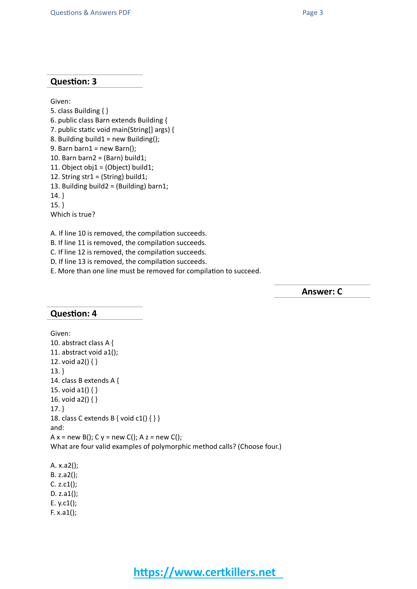#### **Question: 3**

Given:

5. class Building { } 6. public class Barn extends Building { 7. public static void main(String[] args) { 8. Building build1 = new Building $($ ); 9. Barn barn $1$  = new Barn(); 10. Barn barn $2 = (Barn)$  build1; 11. Object obj1 = (Object) build1; 12. String str1 = (String) build1; 13. Building build2 = (Building) barn1; 14. } 15. } Which is true?

A. If line 10 is removed, the compilation succeeds.

B. If line 11 is removed, the compilation succeeds.

C. If line 12 is removed, the compilation succeeds.

D. If line 13 is removed, the compilation succeeds.

E. More than one line must be removed for compilation to succeed.

**Answer: C**

#### **Question: 4**

```
Given:
10. abstract class A {
11. abstract void a1();
12. void a2() \{ \}13. }
14. class B extends A {
15. void a1() \{ \}16. void a2() { }
17. }
18. class C extends B { void c1() { } }
and:
A x = new B(); C y = new C(); A z = new C();
What are four valid examples of polymorphic method calls? (Choose four.)
```
A. x.a2(); B. z.a2(); C. z.c1(); D. z.a1(); E. y.c1(); F.  $x.a1()$ ;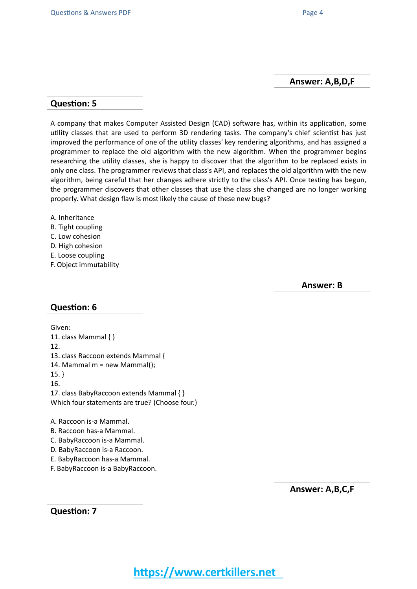#### **Answer: A,B,D,F**

#### **Question: 5**

A company that makes Computer Assisted Design (CAD) software has, within its application, some utility classes that are used to perform 3D rendering tasks. The company's chief scientist has just improved the performance of one of the utility classes' key rendering algorithms, and has assigned a programmer to replace the old algorithm with the new algorithm. When the programmer begins researching the utility classes, she is happy to discover that the algorithm to be replaced exists in only one class. The programmer reviews that class's API, and replaces the old algorithm with the new algorithm, being careful that her changes adhere strictly to the class's API. Once testing has begun, the programmer discovers that other classes that use the class she changed are no longer working properly. What design flaw is most likely the cause of these new bugs?

- A. Inheritance
- B. Tight coupling
- C. Low cohesion
- D. High cohesion
- E. Loose coupling
- F. Object immutability

**Answer: B**

#### **Question: 6**

Given: 11. class Mammal { } 12. 13. class Raccoon extends Mammal { 14. Mammal m = new Mammal(); 15. } 16. 17. class BabyRaccoon extends Mammal { } Which four statements are true? (Choose four.) A. Raccoon is-a Mammal. B. Raccoon has-a Mammal. C. BabyRaccoon is-a Mammal.

- D. BabyRaccoon is-a Raccoon. E. BabyRaccoon has-a Mammal.
- F. BabyRaccoon is-a BabyRaccoon.

**Answer: A,B,C,F**

**Question: 7**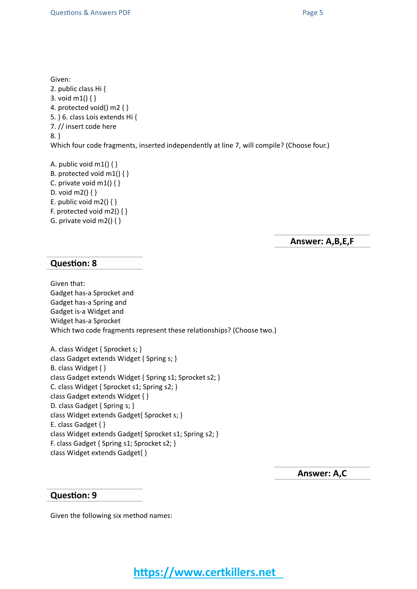Given:

2. public class Hi { 3. void m1() { } 4. protected void() m2 { } 5. } 6. class Lois extends Hi { 7. // insert code here 8. } Which four code fragments, inserted independently at line 7, will compile? (Choose four.)

A. public void  $m1()$  { } B. protected void m1() { } C. private void  $m1()$  { } D. void m2() { } E. public void m2()  $\{ \}$ F. protected void m2()  $\{ \}$ G. private void  $m2()$  { }

**Answer: A,B,E,F**

### **Question: 8**

Given that: Gadget has-a Sprocket and Gadget has-a Spring and Gadget is-a Widget and Widget has-a Sprocket Which two code fragments represent these relationships? (Choose two.)

A. class Widget { Sprocket s; } class Gadget extends Widget { Spring s; } B. class Widget { } class Gadget extends Widget { Spring s1; Sprocket s2; } C. class Widget { Sprocket s1; Spring s2; } class Gadget extends Widget { } D. class Gadget { Spring s; } class Widget extends Gadget{ Sprocket s; } E. class Gadget { } class Widget extends Gadget{ Sprocket s1; Spring s2; } F. class Gadget { Spring s1; Sprocket s2; } class Widget extends Gadget{ }

**Answer: A,C**

#### **Question: 9**

Given the following six method names: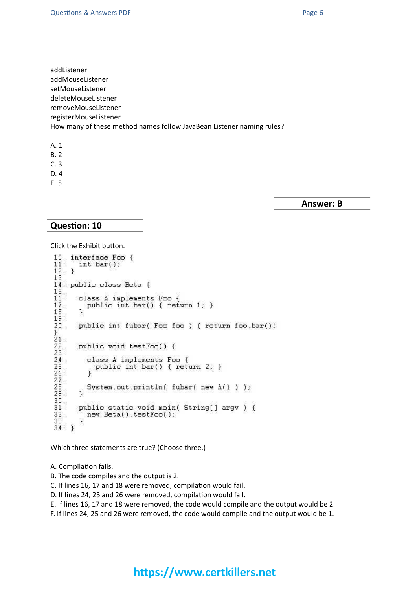addListener addMouseListener setMouseListener deleteMouseListener removeMouseListener registerMouseListener How many of these method names follow JavaBean Listener naming rules?

- A. 1
- B. 2
- C. 3
- D. 4
- E. 5

**Answer: B**

#### **Question: 10**

Click the Exhibit button.

```
10. interface Foo {
11.int bar()12. }
13.
14. public class Beta {
15.
16.
       class A implements Foo {
        class A implements Foo {<br>public int bar() { return 1; }<br>}
\overline{17}.
\overline{18}.
19.
20.5public int fubar( Foo foo ) { return foo bar();
21.22.public void testFoo() {
23.24.class A implements Foo {
          class A implements Foo {<br>public int bar() { return 2; }<br>}
\frac{25}{25}.
\frac{26}{27}.
28.System.out.println( fubar( new A() ) );
29.\mathcal{Y}30.public static void main( String[] argv ) {
31.32.new Beta().testFoo();
\frac{33}{34}; }
        J.
```
Which three statements are true? (Choose three.)

A. Compilation fails.

- B. The code compiles and the output is 2.
- C. If lines 16, 17 and 18 were removed, compilation would fail.
- D. If lines 24, 25 and 26 were removed, compilation would fail.

E. If lines 16, 17 and 18 were removed, the code would compile and the output would be 2.

F. If lines 24, 25 and 26 were removed, the code would compile and the output would be 1.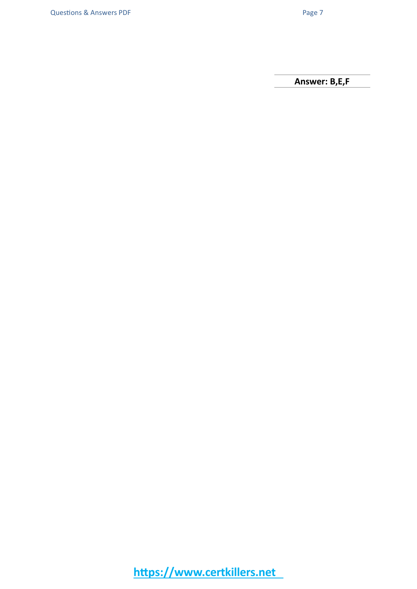**Answer: B,E,F**